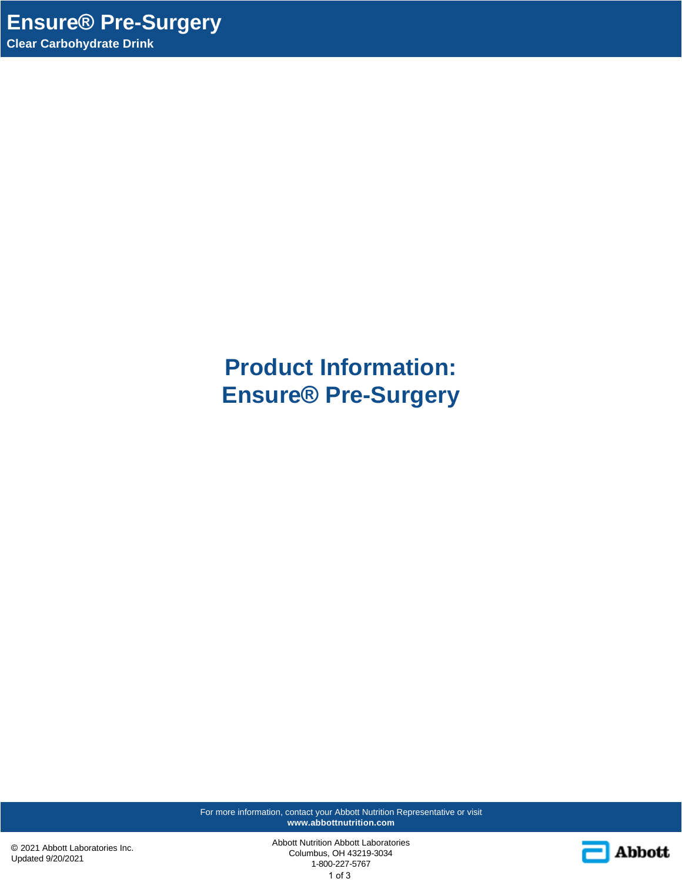**Product Information: Ensure® Pre-Surgery**

For more information, contact your Abbott Nutrition Representative or visit **www.abbottnutrition.com**

© 2021 Abbott Laboratories Inc. Updated 9/20/2021

Abbott Nutrition Abbott Laboratories Columbus, OH 43219-3034 1-800-227-5767 1 of 3

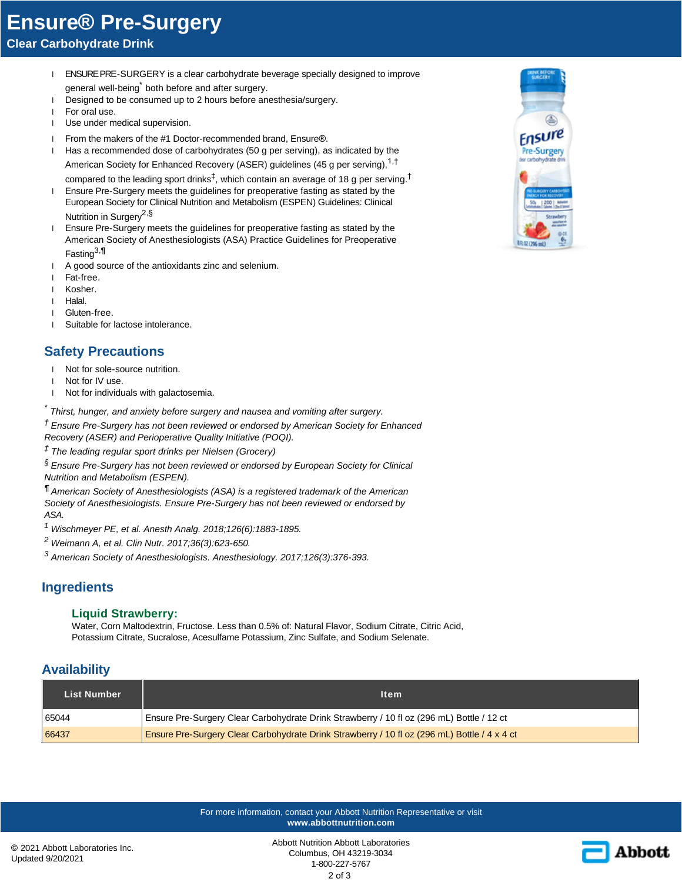# **Ensure® Pre-Surgery**

**Clear Carbohydrate Drink**

- l ENSURE PRE-SURGERY is a clear carbohydrate beverage specially designed to improve general well-being<sup>\*</sup> both before and after surgery.
- 1 Designed to be consumed up to 2 hours before anesthesia/surgery.
- l For oral use.
- l Use under medical supervision.
- l From the makers of the #1 Doctor-recommended brand, Ensure®.
- l Has a recommended dose of carbohydrates (50 g per serving), as indicated by the American Society for Enhanced Recovery (ASER) guidelines (45 g per serving), <sup>1, †</sup> compared to the leading sport drinks $^\ddag$ , which contain an average of 18 g per serving.<sup>†</sup>
- l Ensure Pre-Surgery meets the guidelines for preoperative fasting as stated by the European Society for Clinical Nutrition and Metabolism (ESPEN) Guidelines: Clinical Nutrition in Surgery<sup>2,§</sup>
- l Ensure Pre-Surgery meets the guidelines for preoperative fasting as stated by the American Society of Anesthesiologists (ASA) Practice Guidelines for Preoperative Fasting<sup>3,¶</sup>
- l A good source of the antioxidants zinc and selenium.
- l Fat-free.
- l Kosher.
- l Halal.
- l Gluten-free.
- l Suitable for lactose intolerance.

# **Safety Precautions**

- l Not for sole-source nutrition.
- l Not for IV use.
- l Not for individuals with galactosemia.

*\* Thirst, hunger, and anxiety before surgery and nausea and vomiting after surgery.*

*† Ensure Pre-Surgery has not been reviewed or endorsed by American Society for Enhanced Recovery (ASER) and Perioperative Quality Initiative (POQI).*

*‡ The leading regular sport drinks per Nielsen (Grocery)*

*§ Ensure Pre-Surgery has not been reviewed or endorsed by European Society for Clinical Nutrition and Metabolism (ESPEN).*

*¶ American Society of Anesthesiologists (ASA) is a registered trademark of the American Society of Anesthesiologists. Ensure Pre-Surgery has not been reviewed or endorsed by ASA.*

*1 Wischmeyer PE, et al. Anesth Analg. 2018;126(6):1883-1895.*

*2 Weimann A, et al. Clin Nutr. 2017;36(3):623-650.*

*3 American Society of Anesthesiologists. Anesthesiology. 2017;126(3):376-393.*

## **Ingredients**

### **Liquid Strawberry:**

Water, Corn Maltodextrin, Fructose. Less than 0.5% of: Natural Flavor, Sodium Citrate, Citric Acid, Potassium Citrate, Sucralose, Acesulfame Potassium, Zinc Sulfate, and Sodium Selenate.

## **Availability**

| <b>List Number</b> | ltem.                                                                                        |  |
|--------------------|----------------------------------------------------------------------------------------------|--|
| 65044              | Ensure Pre-Surgery Clear Carbohydrate Drink Strawberry / 10 fl oz (296 mL) Bottle / 12 ct    |  |
| 66437              | Ensure Pre-Surgery Clear Carbohydrate Drink Strawberry / 10 fl oz (296 mL) Bottle / 4 x 4 ct |  |

For more information, contact your Abbott Nutrition Representative or visit **www.abbottnutrition.com**



Abbott Nutrition Abbott Laboratories Columbus, OH 43219-3034 1-800-227-5767 2 of 3